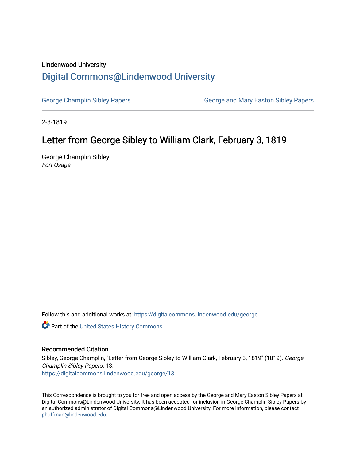## Lindenwood University

# [Digital Commons@Lindenwood University](https://digitalcommons.lindenwood.edu/)

[George Champlin Sibley Papers](https://digitalcommons.lindenwood.edu/george) George and Mary Easton Sibley Papers

2-3-1819

## Letter from George Sibley to William Clark, February 3, 1819

George Champlin Sibley Fort Osage

Follow this and additional works at: [https://digitalcommons.lindenwood.edu/george](https://digitalcommons.lindenwood.edu/george?utm_source=digitalcommons.lindenwood.edu%2Fgeorge%2F13&utm_medium=PDF&utm_campaign=PDFCoverPages)

Part of the [United States History Commons](http://network.bepress.com/hgg/discipline/495?utm_source=digitalcommons.lindenwood.edu%2Fgeorge%2F13&utm_medium=PDF&utm_campaign=PDFCoverPages) 

## Recommended Citation

Sibley, George Champlin, "Letter from George Sibley to William Clark, February 3, 1819" (1819). George Champlin Sibley Papers. 13. [https://digitalcommons.lindenwood.edu/george/13](https://digitalcommons.lindenwood.edu/george/13?utm_source=digitalcommons.lindenwood.edu%2Fgeorge%2F13&utm_medium=PDF&utm_campaign=PDFCoverPages) 

This Correspondence is brought to you for free and open access by the George and Mary Easton Sibley Papers at Digital Commons@Lindenwood University. It has been accepted for inclusion in George Champlin Sibley Papers by an authorized administrator of Digital Commons@Lindenwood University. For more information, please contact [phuffman@lindenwood.edu](mailto:phuffman@lindenwood.edu).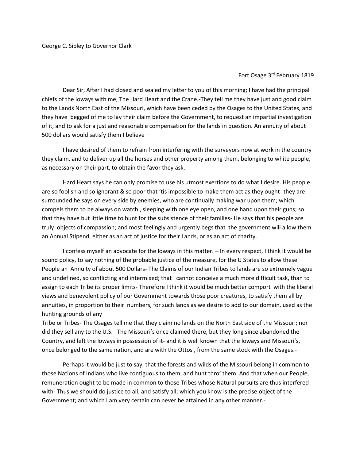#### Fort Osage 3rd February 1819

Dear Sir, After I had closed and sealed my letter to you of this morning; I have had the principal chiefs of the Ioways with me, The Hard Heart and the Crane.-They tell me they have just and good claim to the Lands North East of the Missouri, which have been ceded by the Osages to the United States, and they have begged of me to lay their claim before the Government, to request an impartial investigation of it, and to ask for a just and reasonable compensation for the lands in question. An annuity of about 500 dollars would satisfy them I believe –

I have desired of them to refrain from interfering with the surveyors now at work in the country they claim, and to deliver up all the horses and other property among them, belonging to white people, as necessary on their part, to obtain the favor they ask.

Hard Heart says he can only promise to use his utmost exertions to do what I desire. His people are so foolish and so ignorant & so poor that 'tis impossible to make them act as they ought- they are surrounded he says on every side by enemies, who are continually making war upon them; which compels them to be always on watch , sleeping with one eye open, and one hand upon their guns; so that they have but little time to hunt for the subsistence of their families- He says that his people are truly objects of compassion; and most feelingly and urgently begs that the government will allow them an Annual Stipend, either as an act of justice for their Lands, or as an act of charity.

I confess myself an advocate for the Ioways in this matter. – In every respect, I think it would be sound policy, to say nothing of the probable justice of the measure, for the U States to allow these People an Annuity of about 500 Dollars- The Claims of our Indian Tribes to lands are so extremely vague and undefined, so conflicting and intermixed; that I cannot conceive a much more difficult task, than to assign to each Tribe its proper limits- Therefore I think it would be much better comport with the liberal views and benevolent policy of our Government towards those poor creatures, to satisfy them all by annuities, in proportion to their numbers, for such lands as we desire to add to our domain, used as the hunting grounds of any

Tribe or Tribes- The Osages tell me that they claim no lands on the North East side of the Missouri; nor did they sell any to the U.S. The Missouri's once claimed there, but they long since abandoned the Country, and left the Ioways in possession of it- and it is well known that the Ioways and Missouri's, once belonged to the same nation, and are with the Ottos , from the same stock with the Osages.-

Perhaps it would be just to say, that the forests and wilds of the Missouri belong in common to those Nations of Indians who live contiguous to them, and hunt thro' them. And that when our People, remuneration ought to be made in common to those Tribes whose Natural pursuits are thus interfered with- Thus we should do justice to all, and satisfy all; which you know is the precise object of the Government; and which I am very certain can never be attained in any other manner.-